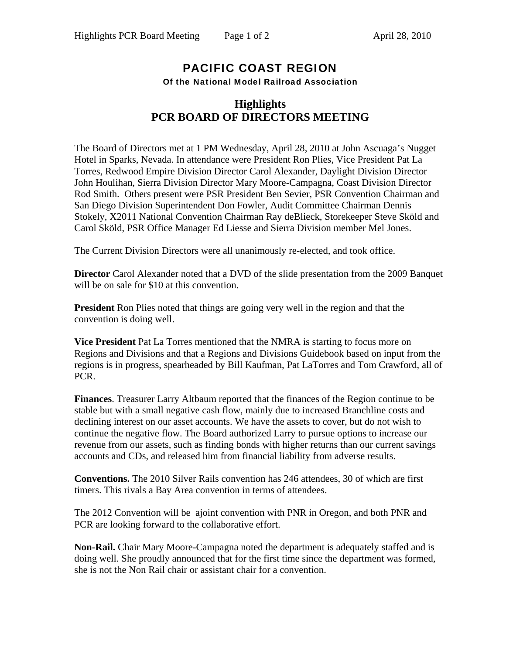## PACIFIC COAST REGION Of the National Model Railroad Association

## **Highlights PCR BOARD OF DIRECTORS MEETING**

The Board of Directors met at 1 PM Wednesday, April 28, 2010 at John Ascuaga's Nugget Hotel in Sparks, Nevada. In attendance were President Ron Plies, Vice President Pat La Torres, Redwood Empire Division Director Carol Alexander, Daylight Division Director John Houlihan, Sierra Division Director Mary Moore-Campagna, Coast Division Director Rod Smith. Others present were PSR President Ben Sevier, PSR Convention Chairman and San Diego Division Superintendent Don Fowler, Audit Committee Chairman Dennis Stokely, X2011 National Convention Chairman Ray deBlieck, Storekeeper Steve Sköld and Carol Sköld, PSR Office Manager Ed Liesse and Sierra Division member Mel Jones.

The Current Division Directors were all unanimously re-elected, and took office.

**Director** Carol Alexander noted that a DVD of the slide presentation from the 2009 Banquet will be on sale for \$10 at this convention.

**President** Ron Plies noted that things are going very well in the region and that the convention is doing well.

**Vice President** Pat La Torres mentioned that the NMRA is starting to focus more on Regions and Divisions and that a Regions and Divisions Guidebook based on input from the regions is in progress, spearheaded by Bill Kaufman, Pat LaTorres and Tom Crawford, all of PCR.

**Finances**. Treasurer Larry Altbaum reported that the finances of the Region continue to be stable but with a small negative cash flow, mainly due to increased Branchline costs and declining interest on our asset accounts. We have the assets to cover, but do not wish to continue the negative flow. The Board authorized Larry to pursue options to increase our revenue from our assets, such as finding bonds with higher returns than our current savings accounts and CDs, and released him from financial liability from adverse results.

**Conventions.** The 2010 Silver Rails convention has 246 attendees, 30 of which are first timers. This rivals a Bay Area convention in terms of attendees.

The 2012 Convention will be ajoint convention with PNR in Oregon, and both PNR and PCR are looking forward to the collaborative effort.

**Non-Rail.** Chair Mary Moore-Campagna noted the department is adequately staffed and is doing well. She proudly announced that for the first time since the department was formed, she is not the Non Rail chair or assistant chair for a convention.